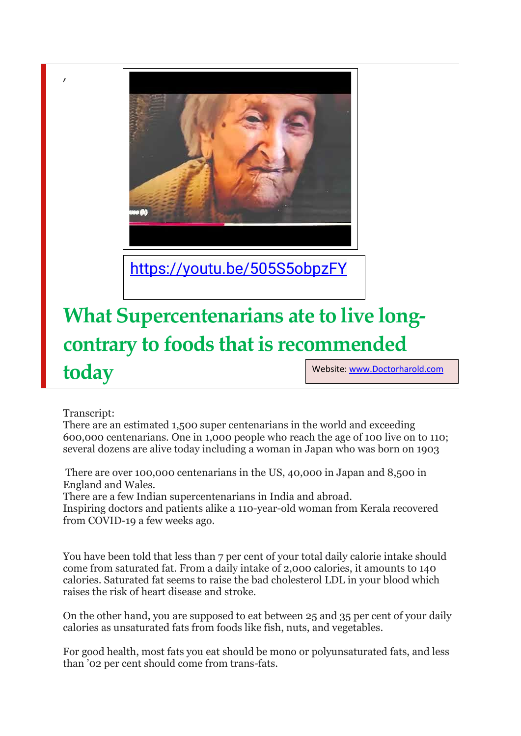

<https://youtu.be/505S5obpzFY>

## **What Supercentenarians ate to live longcontrary to foods that is recommended**

**today**

,

Website: [www.Doctorharold.com](http://www.doctorharold.com/)

## Transcript:

There are an estimated 1,500 super centenarians in the world and exceeding 600,000 centenarians. One in 1,000 people who reach the age of 100 live on to 110; several dozens are alive today including a woman in Japan who was born on 1903

There are over 100,000 centenarians in the US, 40,000 in Japan and 8,500 in England and Wales.

There are a few Indian supercentenarians in India and abroad.

Inspiring doctors and patients alike a 110-year-old woman from Kerala recovered from COVID-19 a few weeks ago.

You have been told that less than 7 per cent of your total daily calorie intake should come from saturated fat. From a daily intake of 2,000 calories, it amounts to 140 calories. Saturated fat seems to raise the bad cholesterol LDL in your blood which raises the risk of heart disease and stroke.

On the other hand, you are supposed to eat between 25 and 35 per cent of your daily calories as unsaturated fats from foods like fish, nuts, and vegetables.

For good health, most fats you eat should be mono or polyunsaturated fats, and less than '02 per cent should come from trans-fats.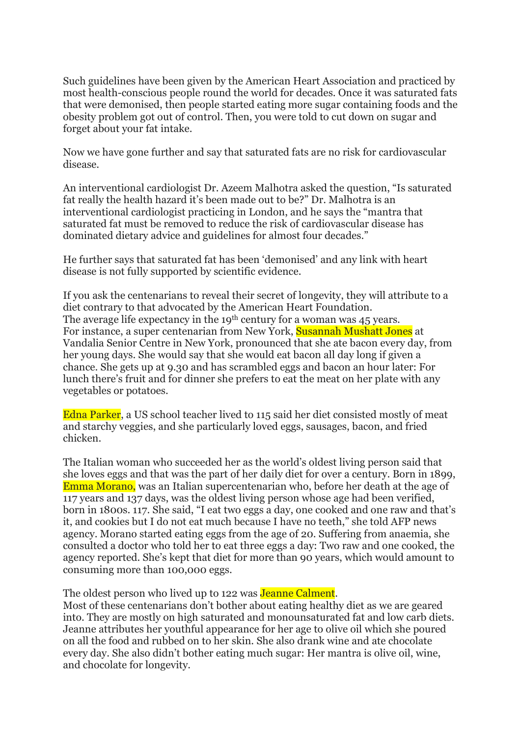Such guidelines have been given by the American Heart Association and practiced by most health-conscious people round the world for decades. Once it was saturated fats that were demonised, then people started eating more sugar containing foods and the obesity problem got out of control. Then, you were told to cut down on sugar and forget about your fat intake.

Now we have gone further and say that saturated fats are no risk for cardiovascular disease.

An interventional cardiologist Dr. Azeem Malhotra asked the question, "Is saturated fat really the health hazard it's been made out to be?" Dr. Malhotra is an interventional cardiologist practicing in London, and he says the "mantra that saturated fat must be removed to reduce the risk of cardiovascular disease has dominated dietary advice and guidelines for almost four decades."

He further says that saturated fat has been 'demonised' and any link with heart disease is not fully supported by scientific evidence.

If you ask the centenarians to reveal their secret of longevity, they will attribute to a diet contrary to that advocated by the American Heart Foundation. The average life expectancy in the 19<sup>th</sup> century for a woman was 45 years. For instance, a super centenarian from New York, Susannah Mushatt Jones at Vandalia Senior Centre in New York, pronounced that she ate bacon every day, from her young days. She would say that she would eat bacon all day long if given a chance. She gets up at 9.30 and has scrambled eggs and bacon an hour later: For lunch there's fruit and for dinner she prefers to eat the meat on her plate with any vegetables or potatoes.

Edna Parker, a US school teacher lived to 115 said her diet consisted mostly of meat and starchy veggies, and she particularly loved eggs, sausages, bacon, and fried chicken.

The Italian woman who succeeded her as the world's oldest living person said that she loves eggs and that was the part of her daily diet for over a century. Born in 1899, Emma Morano, was an Italian supercentenarian who, before her death at the age of 117 years and 137 days, was the oldest living person whose age had been verified, born in 1800s. 117. She said, "I eat two eggs a day, one cooked and one raw and that's it, and cookies but I do not eat much because I have no teeth," she told AFP news agency. Morano started eating eggs from the age of 20. Suffering from anaemia, she consulted a doctor who told her to eat three eggs a day: Two raw and one cooked, the agency reported. She's kept that diet for more than 90 years, which would amount to consuming more than 100,000 eggs.

The oldest person who lived up to 122 was **Jeanne Calment**.

Most of these centenarians don't bother about eating healthy diet as we are geared into. They are mostly on high saturated and monounsaturated fat and low carb diets. Jeanne attributes her youthful appearance for her age to olive oil which she poured on all the food and rubbed on to her skin. She also drank wine and ate chocolate every day. She also didn't bother eating much sugar: Her mantra is olive oil, wine, and chocolate for longevity.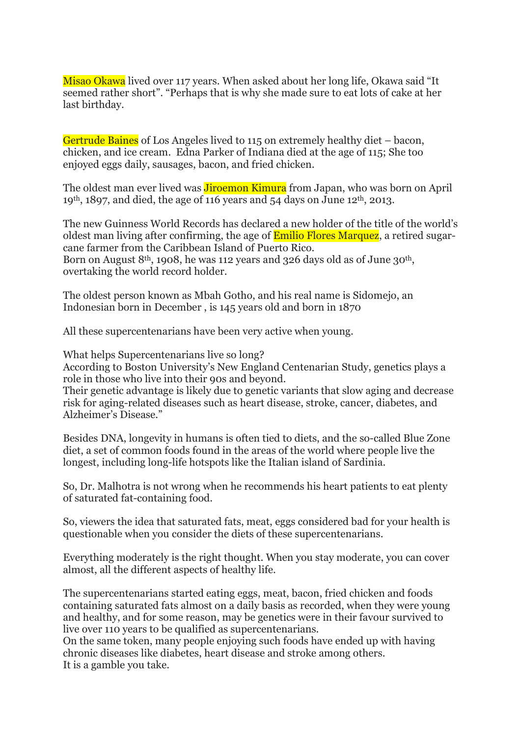Misao Okawa lived over 117 years. When asked about her long life, Okawa said "It seemed rather short". "Perhaps that is why she made sure to eat lots of cake at her last birthday.

Gertrude Baines of Los Angeles lived to 115 on extremely healthy diet – bacon, chicken, and ice cream. Edna Parker of Indiana died at the age of 115; She too enjoyed eggs daily, sausages, bacon, and fried chicken.

The oldest man ever lived was **Jiroemon Kimura** from Japan, who was born on April 19th, 1897, and died, the age of 116 years and 54 days on June 12th, 2013.

The new Guinness World Records has declared a new holder of the title of the world's oldest man living after confirming, the age of **Emilio Flores Marquez**, a retired sugarcane farmer from the Caribbean Island of Puerto Rico. Born on August 8<sup>th</sup>, 1908, he was 112 years and 326 days old as of June 30<sup>th</sup>, overtaking the world record holder.

The oldest person known as Mbah Gotho, and his real name is Sidomejo, an Indonesian born in December , is 145 years old and born in 1870

All these supercentenarians have been very active when young.

What helps Supercentenarians live so long?

According to Boston University's New England Centenarian Study, genetics plays a role in those who live into their 90s and beyond.

Their genetic advantage is likely due to genetic variants that slow aging and decrease risk for aging-related diseases such as heart disease, stroke, cancer, diabetes, and Alzheimer's Disease."

Besides DNA, longevity in humans is often tied to diets, and the so-called Blue Zone diet, a set of common foods found in the areas of the world where people live the longest, including long-life hotspots like the Italian island of Sardinia.

So, Dr. Malhotra is not wrong when he recommends his heart patients to eat plenty of saturated fat-containing food.

So, viewers the idea that saturated fats, meat, eggs considered bad for your health is questionable when you consider the diets of these supercentenarians.

Everything moderately is the right thought. When you stay moderate, you can cover almost, all the different aspects of healthy life.

The supercentenarians started eating eggs, meat, bacon, fried chicken and foods containing saturated fats almost on a daily basis as recorded, when they were young and healthy, and for some reason, may be genetics were in their favour survived to live over 110 years to be qualified as supercentenarians.

On the same token, many people enjoying such foods have ended up with having chronic diseases like diabetes, heart disease and stroke among others. It is a gamble you take.